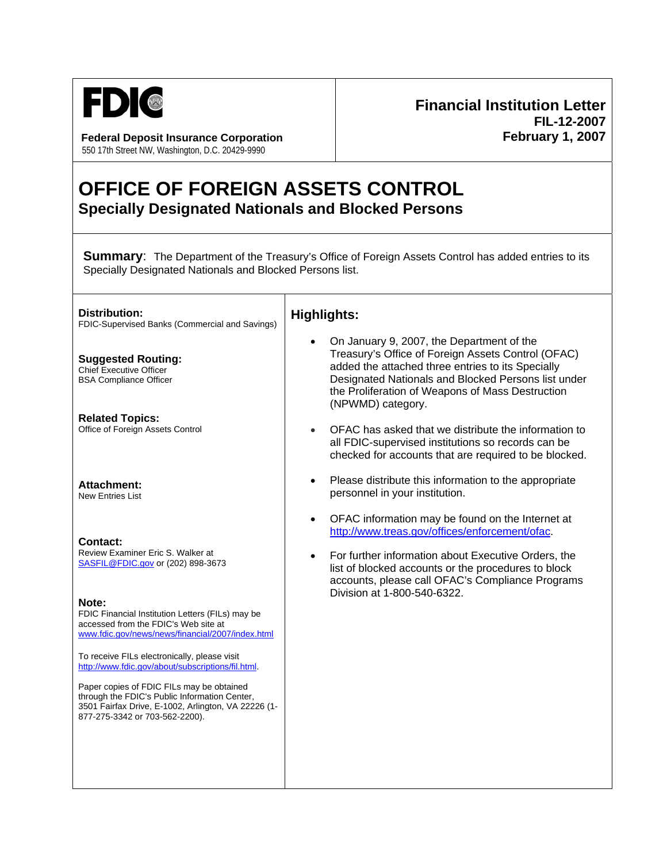

**Federal Deposit Insurance Corporation February 1, 2007** 550 17th Street NW, Washington, D.C. 20429-9990

## **Financial Institution Letter FIL-12-2007**

## **OFFICE OF FOREIGN ASSETS CONTROL Specially Designated Nationals and Blocked Persons**

┑

**Summary:** The Department of the Treasury's Office of Foreign Assets Control has added entries to its Specially Designated Nationals and Blocked Persons list.

| Distribution:<br>FDIC-Supervised Banks (Commercial and Savings)                                                                                                                               | <b>Highlights:</b>                                                                                                                                                                                                                                                                                                            |
|-----------------------------------------------------------------------------------------------------------------------------------------------------------------------------------------------|-------------------------------------------------------------------------------------------------------------------------------------------------------------------------------------------------------------------------------------------------------------------------------------------------------------------------------|
| <b>Suggested Routing:</b><br><b>Chief Executive Officer</b><br><b>BSA Compliance Officer</b>                                                                                                  | On January 9, 2007, the Department of the<br>$\bullet$<br>Treasury's Office of Foreign Assets Control (OFAC)<br>added the attached three entries to its Specially<br>Designated Nationals and Blocked Persons list under<br>the Proliferation of Weapons of Mass Destruction<br>(NPWMD) category.                             |
| <b>Related Topics:</b><br>Office of Foreign Assets Control                                                                                                                                    | OFAC has asked that we distribute the information to<br>$\bullet$<br>all FDIC-supervised institutions so records can be<br>checked for accounts that are required to be blocked.                                                                                                                                              |
| <b>Attachment:</b><br><b>New Entries List</b>                                                                                                                                                 | Please distribute this information to the appropriate<br>$\bullet$<br>personnel in your institution.                                                                                                                                                                                                                          |
| <b>Contact:</b><br>Review Examiner Eric S. Walker at<br>SASFIL@FDIC.gov or (202) 898-3673<br>Note:<br>FDIC Financial Institution Letters (FILs) may be                                        | OFAC information may be found on the Internet at<br>$\bullet$<br>http://www.treas.gov/offices/enforcement/ofac.<br>For further information about Executive Orders, the<br>$\bullet$<br>list of blocked accounts or the procedures to block<br>accounts, please call OFAC's Compliance Programs<br>Division at 1-800-540-6322. |
| accessed from the FDIC's Web site at<br>www.fdic.gov/news/news/financial/2007/index.html<br>To receive FILs electronically, please visit<br>http://www.fdic.gov/about/subscriptions/fil.html. |                                                                                                                                                                                                                                                                                                                               |
| Paper copies of FDIC FILs may be obtained<br>through the FDIC's Public Information Center,<br>3501 Fairfax Drive, E-1002, Arlington, VA 22226 (1-<br>877-275-3342 or 703-562-2200).           |                                                                                                                                                                                                                                                                                                                               |
|                                                                                                                                                                                               |                                                                                                                                                                                                                                                                                                                               |